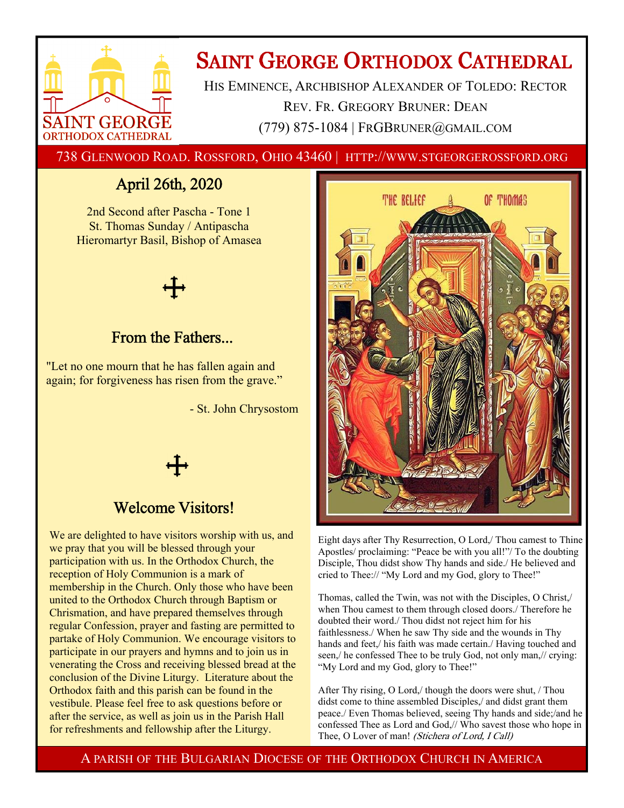

# **SAINT GEORGE ORTHODOX CATHEDRAL**

HIS EMINENCE, ARCHBISHOP ALEXANDER OF TOLEDO: RECTOR REV. FR. GREGORY BRUNER: DEAN (779) 875-1084 | FRGBRUNER@GMAIL.COM

738 GLENWOOD ROAD. ROSSFORD, OHIO 43460 | HTTP://WWW.STGEORGEROSSFORD.ORG

# April 26th, 2020

2nd Second after Pascha - Tone 1 St. Thomas Sunday / Antipascha Hieromartyr Basil, Bishop of Amasea



### From the Fathers...

"Let no one mourn that he has fallen again and again; for forgiveness has risen from the grave."

- St. John Chrysostom



# Welcome Visitors!

We are delighted to have visitors worship with us, and we pray that you will be blessed through your participation with us. In the Orthodox Church, the reception of Holy Communion is a mark of membership in the Church. Only those who have been united to the Orthodox Church through Baptism or Chrismation, and have prepared themselves through regular Confession, prayer and fasting are permitted to partake of Holy Communion. We encourage visitors to participate in our prayers and hymns and to join us in venerating the Cross and receiving blessed bread at the conclusion of the Divine Liturgy. Literature about the Orthodox faith and this parish can be found in the vestibule. Please feel free to ask questions before or after the service, as well as join us in the Parish Hall for refreshments and fellowship after the Liturgy.



Eight days after Thy Resurrection, O Lord,/ Thou camest to Thine Apostles/ proclaiming: "Peace be with you all!"/ To the doubting Disciple, Thou didst show Thy hands and side./ He believed and cried to Thee:// "My Lord and my God, glory to Thee!"

Thomas, called the Twin, was not with the Disciples, O Christ,/ when Thou camest to them through closed doors./ Therefore he doubted their word./ Thou didst not reject him for his faithlessness./ When he saw Thy side and the wounds in Thy hands and feet,/ his faith was made certain./ Having touched and seen,/ he confessed Thee to be truly God, not only man,// crying: "My Lord and my God, glory to Thee!"

After Thy rising, O Lord,/ though the doors were shut, / Thou didst come to thine assembled Disciples,/ and didst grant them peace./ Even Thomas believed, seeing Thy hands and side;/and he confessed Thee as Lord and God,// Who savest those who hope in Thee, O Lover of man! (Stichera of Lord, I Call)

A PARISH OF THE BULGARIAN DIOCESE OF THE ORTHODOX CHURCH IN AMERICA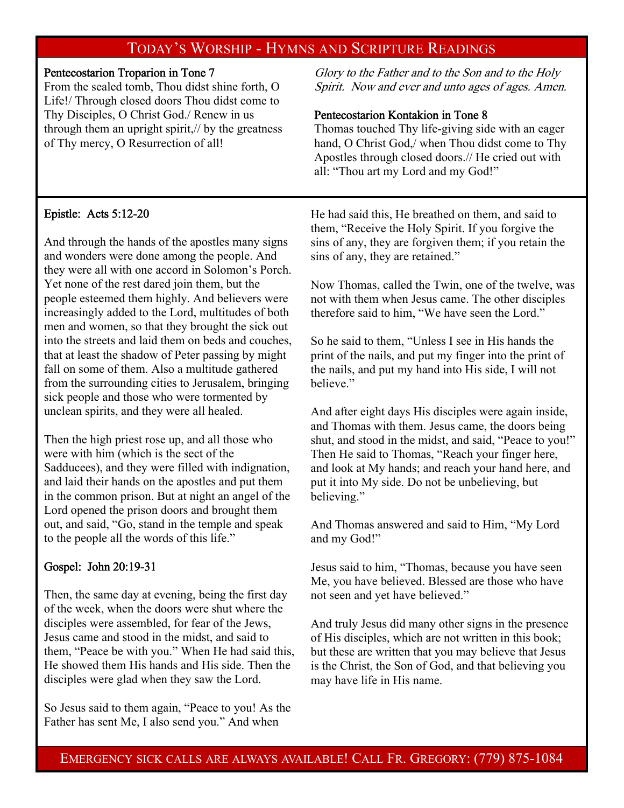### TODAY'S WORSHIP - HYMNS AND SCRIPTURE READINGS

### Pentecostarion Troparion in Tone 7

From the sealed tomb, Thou didst shine forth, O Life!/ Through closed doors Thou didst come to Thy Disciples, O Christ God./ Renew in us through them an upright spirit,// by the greatness of Thy mercy, O Resurrection of all!

Glory to the Father and to the Son and to the Holy Spirit. Now and ever and unto ages of ages. Amen.

### Pentecostarion Kontakion in Tone 8

Thomas touched Thy life-giving side with an eager hand, O Christ God,/ when Thou didst come to Thy Apostles through closed doors.// He cried out with all: "Thou art my Lord and my God!"

### Epistle: Acts 5:12-20

And through the hands of the apostles many signs and wonders were done among the people. And they were all with one accord in Solomon's Porch. Yet none of the rest dared join them, but the people esteemed them highly. And believers were increasingly added to the Lord, multitudes of both men and women, so that they brought the sick out into the streets and laid them on beds and couches, that at least the shadow of Peter passing by might fall on some of them. Also a multitude gathered from the surrounding cities to Jerusalem, bringing sick people and those who were tormented by unclean spirits, and they were all healed.

Then the high priest rose up, and all those who were with him (which is the sect of the Sadducees), and they were filled with indignation, and laid their hands on the apostles and put them in the common prison. But at night an angel of the Lord opened the prison doors and brought them out, and said, "Go, stand in the temple and speak to the people all the words of this life."

### Gospel: John 20:19-31

Then, the same day at evening, being the first day of the week, when the doors were shut where the disciples were assembled, for fear of the Jews, Jesus came and stood in the midst, and said to them, "Peace be with you." When He had said this, He showed them His hands and His side. Then the disciples were glad when they saw the Lord.

So Jesus said to them again, "Peace to you! As the Father has sent Me, I also send you." And when

He had said this, He breathed on them, and said to them, "Receive the Holy Spirit. If you forgive the sins of any, they are forgiven them; if you retain the sins of any, they are retained."

Now Thomas, called the Twin, one of the twelve, was not with them when Jesus came. The other disciples therefore said to him, "We have seen the Lord."

So he said to them, "Unless I see in His hands the print of the nails, and put my finger into the print of the nails, and put my hand into His side, I will not believe."

And after eight days His disciples were again inside, and Thomas with them. Jesus came, the doors being shut, and stood in the midst, and said, "Peace to you!" Then He said to Thomas, "Reach your finger here, and look at My hands; and reach your hand here, and put it into My side. Do not be unbelieving, but believing."

And Thomas answered and said to Him, "My Lord and my God!"

Jesus said to him, "Thomas, because you have seen Me, you have believed. Blessed are those who have not seen and yet have believed."

And truly Jesus did many other signs in the presence of His disciples, which are not written in this book; but these are written that you may believe that Jesus is the Christ, the Son of God, and that believing you may have life in His name.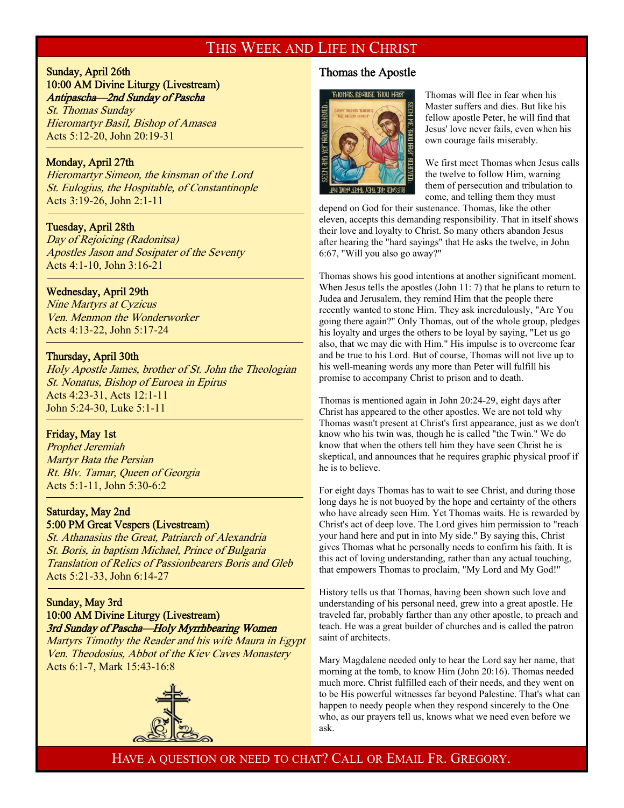### THIS WEEK AND LIFE IN CHRIST

#### Sunday, April 26th 10:00 AM Divine Liturgy (Livestream) Antipascha—2nd Sunday of Pascha

St. Thomas Sunday Hieromartyr Basil, Bishop of Amasea Acts 5:12-20, John 20:19-31

#### Monday, April 27th

f

j

f

<sup>-</sup>

Hieromartyr Simeon, the kinsman of the Lord St. Eulogius, the Hospitable, of Constantinople Acts 3:19-26, John 2:1-11

#### Tuesday, April 28th

Day of Rejoicing (Radonitsa) Apostles Jason and Sosipater of the Seventy Acts 4:1-10, John 3:16-21

#### Wednesday, April 29th

Nine Martyrs at Cyzicus Ven. Menmon the Wonderworker Acts 4:13-22, John 5:17-24

#### Thursday, April 30th

Holy Apostle James, brother of St. John the Theologian St. Nonatus, Bishop of Euroea in Epirus Acts 4:23-31, Acts 12:1-11 John 5:24-30, Luke 5:1-11

#### Friday, May 1st

Prophet Jeremiah Martyr Bata the Persian Rt. Blv. Tamar, Queen of Georgia Acts 5:1-11, John 5:30-6:2

#### Saturday, May 2nd 5:00 PM Great Vespers (Livestream)

St. Athanasius the Great, Patriarch of Alexandria St. Boris, in baptism Michael, Prince of Bulgaria Translation of Relics of Passionbearers Boris and Gleb Acts 5:21-33, John 6:14-27

#### Sunday, May 3rd 10:00 AM Divine Liturgy (Livestream) 3rd Sunday of Pascha—Holy Myrrhbearing Women

Martyrs Timothy the Reader and his wife Maura in Egypt Ven. Theodosius, Abbot of the Kiev Caves Monastery Acts 6:1-7, Mark 15:43-16:8



### Thomas the Apostle



Thomas will flee in fear when his Master suffers and dies. But like his fellow apostle Peter, he will find that Jesus' love never fails, even when his own courage fails miserably.

We first meet Thomas when Jesus calls the twelve to follow Him, warning them of persecution and tribulation to come, and telling them they must

depend on God for their sustenance. Thomas, like the other eleven, accepts this demanding responsibility. That in itself shows their love and loyalty to Christ. So many others abandon Jesus after hearing the "hard sayings" that He asks the twelve, in John 6:67, "Will you also go away?"

Thomas shows his good intentions at another significant moment. When Jesus tells the apostles (John 11: 7) that he plans to return to Judea and Jerusalem, they remind Him that the people there recently wanted to stone Him. They ask incredulously, "Are You going there again?" Only Thomas, out of the whole group, pledges his loyalty and urges the others to be loyal by saying, "Let us go also, that we may die with Him." His impulse is to overcome fear and be true to his Lord. But of course, Thomas will not live up to his well-meaning words any more than Peter will fulfill his promise to accompany Christ to prison and to death.

Thomas is mentioned again in John 20:24-29, eight days after Christ has appeared to the other apostles. We are not told why Thomas wasn't present at Christ's first appearance, just as we don't know who his twin was, though he is called "the Twin." We do know that when the others tell him they have seen Christ he is skeptical, and announces that he requires graphic physical proof if he is to believe.

For eight days Thomas has to wait to see Christ, and during those long days he is not buoyed by the hope and certainty of the others who have already seen Him. Yet Thomas waits. He is rewarded by Christ's act of deep love. The Lord gives him permission to "reach your hand here and put in into My side." By saying this, Christ gives Thomas what he personally needs to confirm his faith. It is this act of loving understanding, rather than any actual touching, that empowers Thomas to proclaim, "My Lord and My God!"

History tells us that Thomas, having been shown such love and understanding of his personal need, grew into a great apostle. He traveled far, probably farther than any other apostle, to preach and teach. He was a great builder of churches and is called the patron saint of architects.

Mary Magdalene needed only to hear the Lord say her name, that morning at the tomb, to know Him (John 20:16). Thomas needed much more. Christ fulfilled each of their needs, and they went on to be His powerful witnesses far beyond Palestine. That's what can happen to needy people when they respond sincerely to the One who, as our prayers tell us, knows what we need even before we ask.

HAVE A QUESTION OR NEED TO CHAT? CALL OR EMAIL FR. GREGORY.